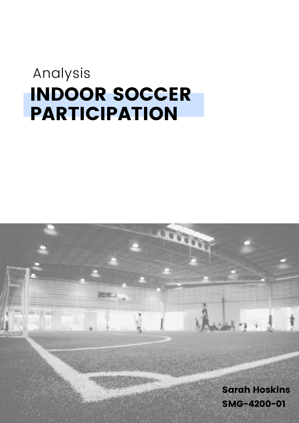### INDOOR SOCCER PARTICIPATION Analysis

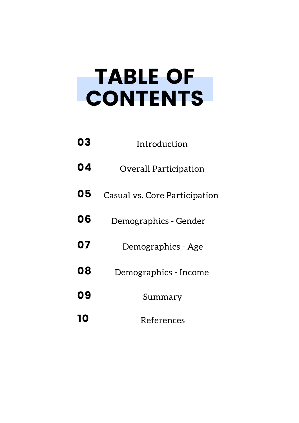## TABLE OF CONTENTS

| 03 | Introduction                  |
|----|-------------------------------|
| 04 | <b>Overall Participation</b>  |
| 05 | Casual vs. Core Participation |
| 06 | Demographics - Gender         |
| 07 | Demographics - Age            |
| 08 | Demographics - Income         |
| 09 | Summary                       |
| 10 | References                    |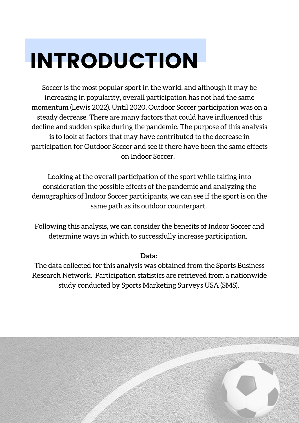# INTRODUCTION

Soccer is the most popular sport in the world, and although it may be increasing in popularity, overall participation has not had the same momentum (Lewis 2022). Until 2020, Outdoor Soccer participation was on a steady decrease. There are many factors that could have influenced this decline and sudden spike during the pandemic. The purpose of this analysis is to look at factors that may have contributed to the decrease in participation for Outdoor Soccer and see if there have been the same effects on Indoor Soccer.

Looking at the overall participation of the sport while taking into consideration the possible effects of the pandemic and analyzing the demographics of Indoor Soccer participants, we can see if the sport is on the same path as its outdoor counterpart.

Following this analysis, we can consider the benefits of Indoor Soccer and determine ways in which to successfully increase participation.

#### **Data:**

The data collected for this analysis was obtained from the Sports Business Research Network. Participation statistics are retrieved from a nationwide study conducted by Sports Marketing Surveys USA (SMS).

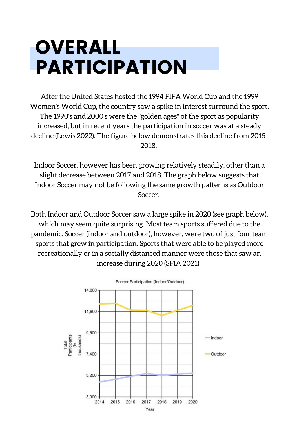### OVERALL PARTICIPATION

After the United States hosted the 1994 FIFA World Cup and the 1999 Women's World Cup, the country saw a spike in interest surround the sport. The 1990's and 2000's were the "golden ages" of the sport as popularity increased, but in recent years the participation in soccer was at a steady decline (Lewis 2022). The figure below demonstrates this decline from 2015- 2018.

Indoor Soccer, however has been growing relatively steadily, other than a slight decrease between 2017 and 2018. The graph below suggests that Indoor Soccer may not be following the same growth patterns as Outdoor Soccer.

Both Indoor and Outdoor Soccer saw a large spike in 2020 (see graph below), which may seem quite surprising. Most team sports suffered due to the pandemic. Soccer (indoor and outdoor), however, were two of just four team sports that grew in participation. Sports that were able to be played more recreationally or in a socially distanced manner were those that saw an increase during 2020 (SFIA 2021).

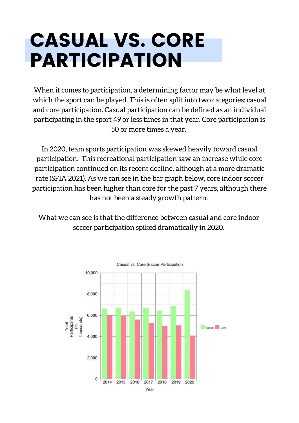### CASUAL VS. CORE PARTICIPATION

When it comes to participation, a determining factor may be what level at which the sport can be played. This is often split into two categories: casual and core participation. Casual participation can be defined as an individual participating in the sport 49 or less times in that year. Core participation is 50 or more times a year.

In 2020, team sports participation was skewed heavily toward casual participation. This recreational participation saw an increase while core participation continued on its recent decline, although at a more dramatic rate (SFIA 2021). As we can see in the bar graph below, core indoor soccer participation has been higher than core for the past 7 years, although there has not been a steady growth pattern.

What we can see is that the difference between casual and core indoor soccer participation spiked dramatically in 2020.

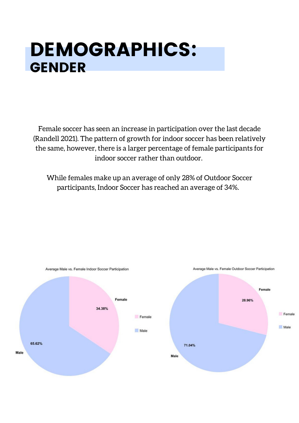#### DEMOGRAPHICS: GENDER

Female soccer has seen an increase in participation over the last decade (Randell 2021). The pattern of growth for indoor soccer has been relatively the same, however, there is a larger percentage of female participants for indoor soccer rather than outdoor.

While females make up an average of only 28% of Outdoor Soccer participants, Indoor Soccer has reached an average of 34%.

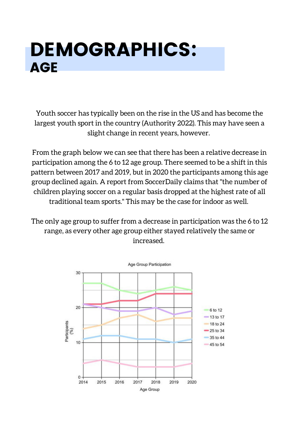### DEMOGRAPHICS: AGE

Youth soccer has typically been on the rise in the US and has become the largest youth sport in the country (Authority 2022). This may have seen a slight change in recent years, however.

From the graph below we can see that there has been a relative decrease in participation among the 6 to 12 age group. There seemed to be a shift in this pattern between 2017 and 2019, but in 2020 the participants among this age group declined again. A report from SoccerDaily claims that "the number of children playing soccer on a regular basis dropped at the highest rate of all traditional team sports." This may be the case for indoor as well.

The only age group to suffer from a decrease in participation was the 6 to 12 range, as every other age group either stayed relatively the same or increased.

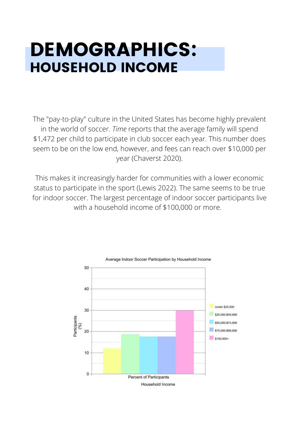### DEMOGRAPHICS: HOUSEHOLD INCOME

The "pay-to-play" culture in the United States has become highly prevalent in the world of soccer. *Time* reports that the average family will spend \$1,472 per child to participate in club soccer each year. This number does seem to be on the low end, however, and fees can reach over \$10,000 per year (Chaverst 2020).

This makes it increasingly harder for communities with a lower economic status to participate in the sport (Lewis 2022). The same seems to be true for indoor soccer. The largest percentage of indoor soccer participants live with a household income of \$100,000 or more.

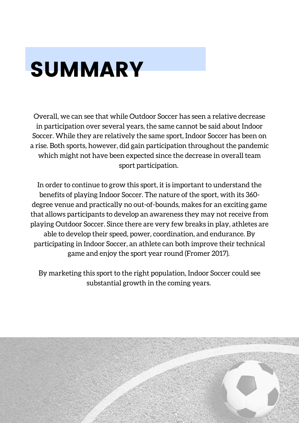# SUMMARY

Overall, we can see that while Outdoor Soccer has seen a relative decrease in participation over several years, the same cannot be said about Indoor Soccer. While they are relatively the same sport, Indoor Soccer has been on a rise. Both sports, however, did gain participation throughout the pandemic which might not have been expected since the decrease in overall team sport participation.

In order to continue to grow this sport, it is important to understand the benefits of playing Indoor Soccer. The nature of the sport, with its 360 degree venue and practically no out-of-bounds, makes for an exciting game that allows participants to develop an awareness they may not receive from playing Outdoor Soccer. Since there are very few breaks in play, athletes are able to develop their speed, power, coordination, and endurance. By participating in Indoor Soccer, an athlete can both improve their technical game and enjoy the sport year round (Fromer 2017).

By marketing this sport to the right population, Indoor Soccer could see substantial growth in the coming years.